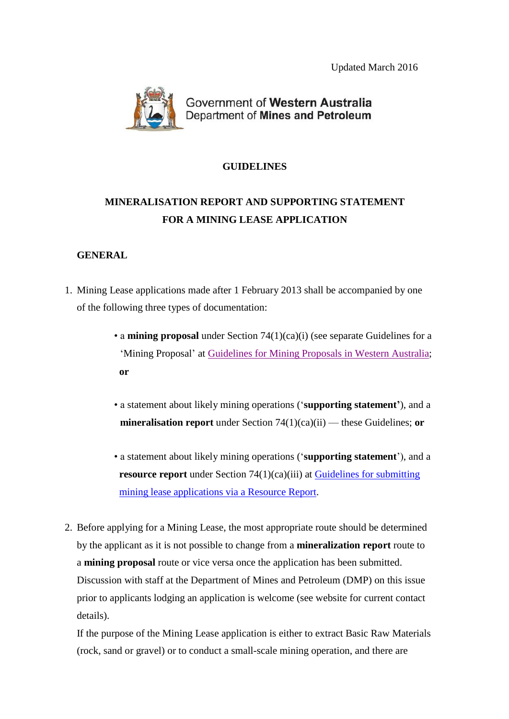Updated March 2016



Government of Western Australia Department of Mines and Petroleum

## **GUIDELINES**

# **MINERALISATION REPORT AND SUPPORTING STATEMENT FOR A MINING LEASE APPLICATION**

## **GENERAL**

- 1. Mining Lease applications made after 1 February 2013 shall be accompanied by one of the following three types of documentation:
	- a **mining proposal** under Section 74(1)(ca)(i) (see separate Guidelines for a 'Mining Proposal' at Guidelines for Mining [Proposals in Western Australia;](http://www.dmp.wa.gov.au/Documents/Environment/ENV-MEB-200.pdf) **or**
	- a statement about likely mining operations ('**supporting statement'**), and a **mineralisation report** under Section 74(1)(ca)(ii) — these Guidelines; **or**
	- a statement about likely mining operations ('**supporting statement**'), and a **resource report** under Section 74(1)(ca)(iii) at [Guidelines for](http://www.dmp.wa.gov.au/Documents/Geological-Survey/GSWA-ResourceReport_ApplicationsGuideline.pdf) submitting mining lease [applications via](http://www.dmp.wa.gov.au/Documents/Geological-Survey/GSWA-ResourceReport_ApplicationsGuideline.pdf) a Resource Report.
- 2. Before applying for a Mining Lease, the most appropriate route should be determined by the applicant as it is not possible to change from a **mineralization report** route to a **mining proposal** route or vice versa once the application has been submitted. Discussion with staff at the Department of Mines and Petroleum (DMP) on this issue prior to applicants lodging an application is welcome (see website for current contact details).

If the purpose of the Mining Lease application is either to extract Basic Raw Materials (rock, sand or gravel) or to conduct a small-scale mining operation, and there are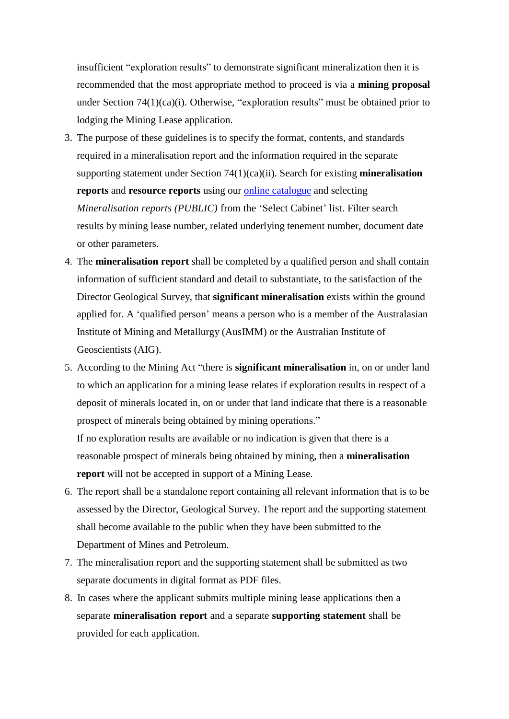insufficient "exploration results" to demonstrate significant mineralization then it is recommended that the most appropriate method to proceed is via a **mining proposal**  under Section 74(1)(ca)(i). Otherwise, "exploration results" must be obtained prior to lodging the Mining Lease application.

- 3. The purpose of these guidelines is to specify the format, contents, and standards required in a mineralisation report and the information required in the separate supporting statement under Section 74(1)(ca)(ii). Search for existing **mineralisation reports** and **resource reports** using our online catalogue [and selecting](http://geodocs.dmp.wa.gov.au/document/documentSearchCriteria.do?from=topNav&cabinetId=2200) *Mineralisation reports (PUBLIC)* from the 'Select Cabinet' list. Filter search results by mining lease number, related underlying tenement number, document date or other parameters.
- 4. The **mineralisation report** shall be completed by a qualified person and shall contain information of sufficient standard and detail to substantiate, to the satisfaction of the Director Geological Survey, that **significant mineralisation** exists within the ground applied for. A 'qualified person' means a person who is a member of the Australasian Institute of Mining and Metallurgy (AusIMM) or the Australian Institute of Geoscientists (AIG).
- 5. According to the Mining Act "there is **significant mineralisation** in, on or under land to which an application for a mining lease relates if exploration results in respect of a deposit of minerals located in, on or under that land indicate that there is a reasonable prospect of minerals being obtained by mining operations." If no exploration results are available or no indication is given that there is a

reasonable prospect of minerals being obtained by mining, then a **mineralisation report** will not be accepted in support of a Mining Lease.

- 6. The report shall be a standalone report containing all relevant information that is to be assessed by the Director, Geological Survey. The report and the supporting statement shall become available to the public when they have been submitted to the Department of Mines and Petroleum.
- 7. The mineralisation report and the supporting statement shall be submitted as two separate documents in digital format as PDF files.
- 8. In cases where the applicant submits multiple mining lease applications then a separate **mineralisation report** and a separate **supporting statement** shall be provided for each application.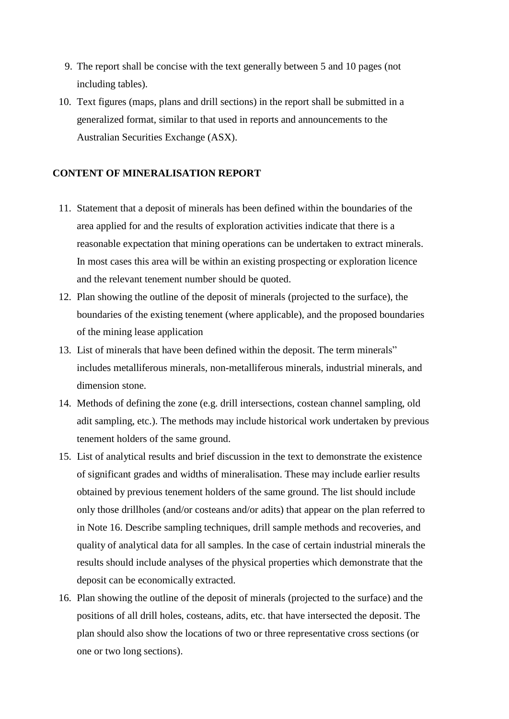- 9. The report shall be concise with the text generally between 5 and 10 pages (not including tables).
- 10. Text figures (maps, plans and drill sections) in the report shall be submitted in a generalized format, similar to that used in reports and announcements to the Australian Securities Exchange (ASX).

#### **CONTENT OF MINERALISATION REPORT**

- 11. Statement that a deposit of minerals has been defined within the boundaries of the area applied for and the results of exploration activities indicate that there is a reasonable expectation that mining operations can be undertaken to extract minerals. In most cases this area will be within an existing prospecting or exploration licence and the relevant tenement number should be quoted.
- 12. Plan showing the outline of the deposit of minerals (projected to the surface), the boundaries of the existing tenement (where applicable), and the proposed boundaries of the mining lease application
- 13. List of minerals that have been defined within the deposit. The term minerals" includes metalliferous minerals, non-metalliferous minerals, industrial minerals, and dimension stone.
- 14. Methods of defining the zone (e.g. drill intersections, costean channel sampling, old adit sampling, etc.). The methods may include historical work undertaken by previous tenement holders of the same ground.
- 15. List of analytical results and brief discussion in the text to demonstrate the existence of significant grades and widths of mineralisation. These may include earlier results obtained by previous tenement holders of the same ground. The list should include only those drillholes (and/or costeans and/or adits) that appear on the plan referred to in Note 16. Describe sampling techniques, drill sample methods and recoveries, and quality of analytical data for all samples. In the case of certain industrial minerals the results should include analyses of the physical properties which demonstrate that the deposit can be economically extracted.
- 16. Plan showing the outline of the deposit of minerals (projected to the surface) and the positions of all drill holes, costeans, adits, etc. that have intersected the deposit. The plan should also show the locations of two or three representative cross sections (or one or two long sections).